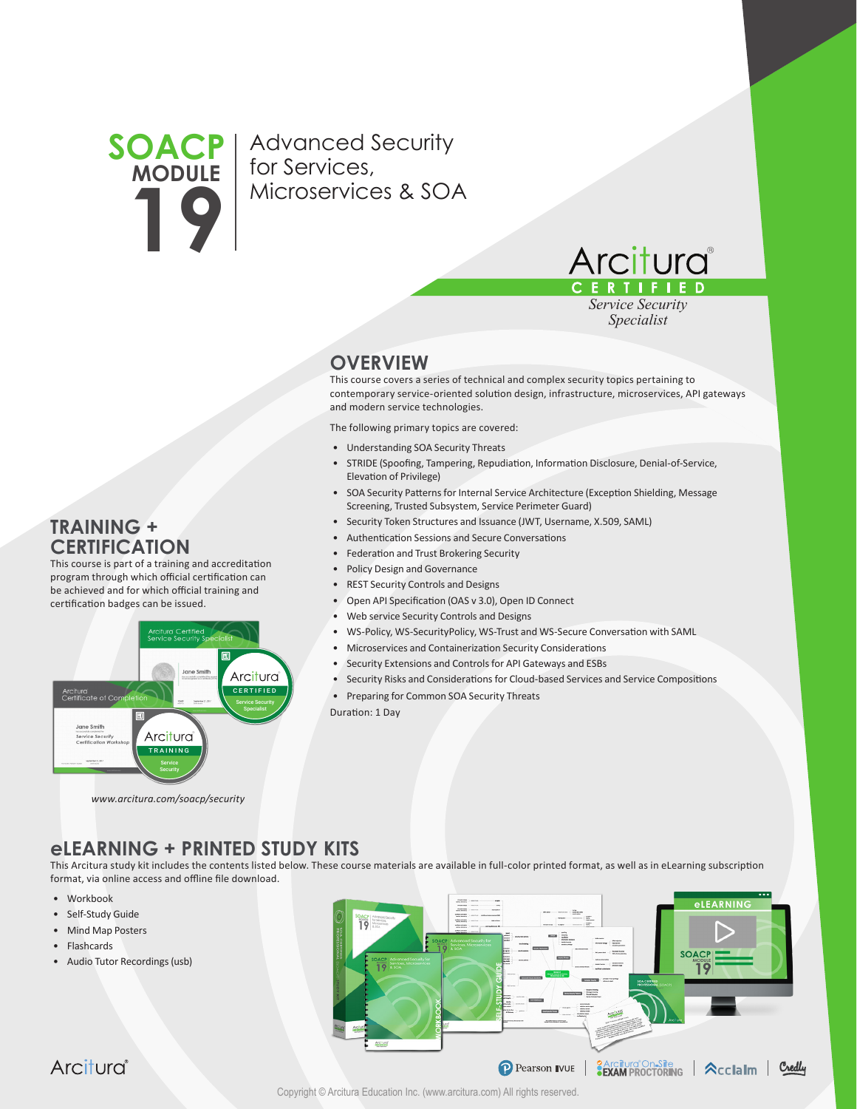## **SOACP MODULE 19**

Advanced Security for Services, Microservices & SOA



*Service Security Specialist*

## **OVERVIEW**

This course covers a series of technical and complex security topics pertaining to contemporary service-oriented solution design, infrastructure, microservices, API gateways and modern service technologies.

The following primary topics are covered:

- Understanding SOA Security Threats
- STRIDE (Spoofing, Tampering, Repudiation, Information Disclosure, Denial-of-Service, Elevation of Privilege)
- SOA Security Patterns for Internal Service Architecture (Exception Shielding, Message Screening, Trusted Subsystem, Service Perimeter Guard)
- Security Token Structures and Issuance (JWT, Username, X.509, SAML)
- Authentication Sessions and Secure Conversations
- Federation and Trust Brokering Security
- Policy Design and Governance
- REST Security Controls and Designs
- Open API Specification (OAS v 3.0), Open ID Connect
- Web service Security Controls and Designs
- WS-Policy, WS-SecurityPolicy, WS-Trust and WS-Secure Conversation with SAML
- Microservices and Containerization Security Considerations
- Security Extensions and Controls for API Gateways and ESBs
- Security Risks and Considerations for Cloud-based Services and Service Compositions
- Preparing for Common SOA Security Threats
- Duration: 1 Day

*www.arcitura.com/soacp/security*

TRAINING Arcitura

This course is part of a training and accreditation program through which official certification can be achieved and for which official training and

## **eLEARNING + PRINTED STUDY KITS**

**CERTIFIED** Arcitura

This Arcitura study kit includes the contents listed below. These course materials are available in full-color printed format, as well as in eLearning subscription format, via online access and offline file download.

- Workbook
- Self-Study Guide

**TRAINING + CERTIFICATION**

Arcitura<br>Certificate of Con

Jane Smith Service Security

certification badges can be issued.

- Mind Map Posters
- Flashcards
- Audio Tutor Recordings (usb)



Arcitura®